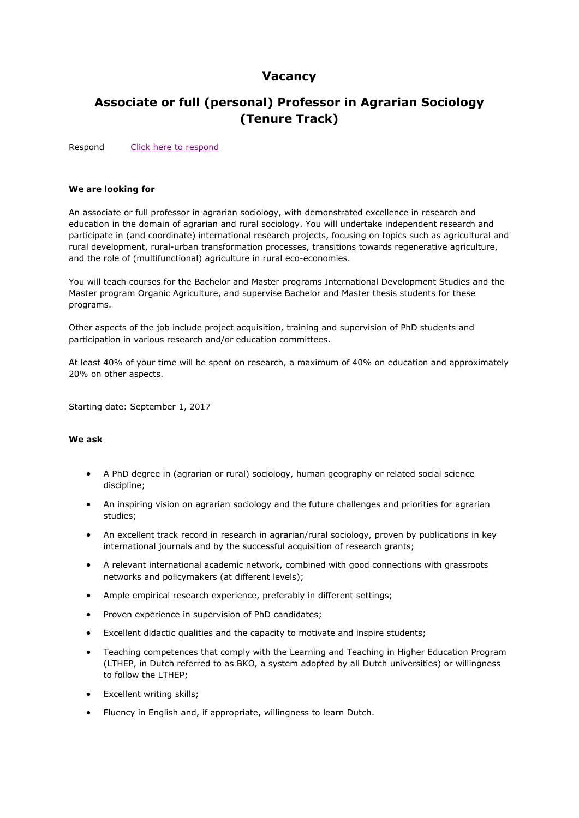## **Vacancy**

# **Associate or full (personal) Professor in Agrarian Sociology (Tenure Track)**

Respond [Click here to respond](https://www.wur.nl/en/Respond-to-vacancy-page.htm?vacancyurl=https%3A%2F%2Fwww.connexys.nl%2Fwageningenurpublic%2Frun%2Fregister%24.startup%3Fz_f_taal%3D2%26z_kan_advertentie_id%3D35943)

#### **We are looking for**

An associate or full professor in agrarian sociology, with demonstrated excellence in research and education in the domain of agrarian and rural sociology. You will undertake independent research and participate in (and coordinate) international research projects, focusing on topics such as agricultural and rural development, rural-urban transformation processes, transitions towards regenerative agriculture, and the role of (multifunctional) agriculture in rural eco-economies.

You will teach courses for the Bachelor and Master programs International Development Studies and the Master program Organic Agriculture, and supervise Bachelor and Master thesis students for these programs.

Other aspects of the job include project acquisition, training and supervision of PhD students and participation in various research and/or education committees.

At least 40% of your time will be spent on research, a maximum of 40% on education and approximately 20% on other aspects.

Starting date: September 1, 2017

#### **We ask**

- A PhD degree in (agrarian or rural) sociology, human geography or related social science discipline;
- An inspiring vision on agrarian sociology and the future challenges and priorities for agrarian studies;
- An excellent track record in research in agrarian/rural sociology, proven by publications in key international journals and by the successful acquisition of research grants;
- A relevant international academic network, combined with good connections with grassroots networks and policymakers (at different levels);
- Ample empirical research experience, preferably in different settings;
- Proven experience in supervision of PhD candidates;
- Excellent didactic qualities and the capacity to motivate and inspire students;
- Teaching competences that comply with the Learning and Teaching in Higher Education Program (LTHEP, in Dutch referred to as BKO, a system adopted by all Dutch universities) or willingness to follow the LTHEP;
- Excellent writing skills;
- Fluency in English and, if appropriate, willingness to learn Dutch.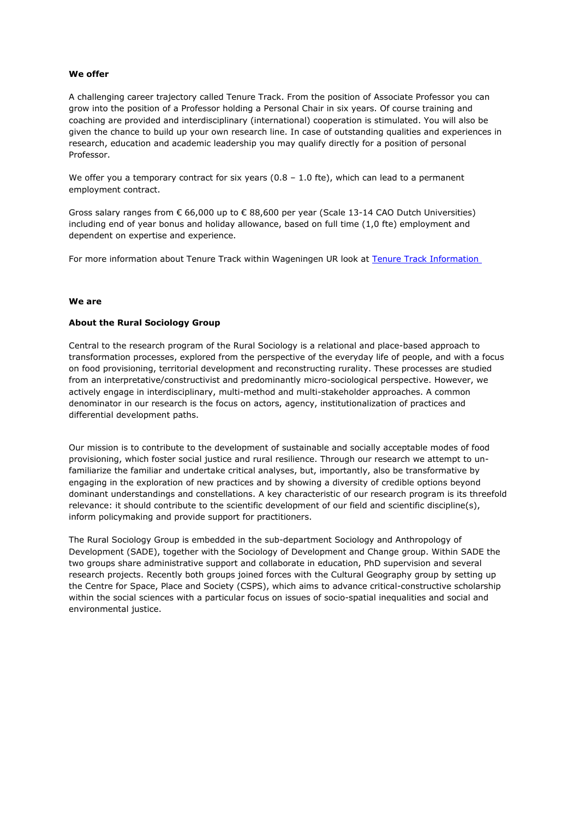#### **We offer**

A challenging career trajectory called Tenure Track. From the position of Associate Professor you can grow into the position of a Professor holding a Personal Chair in six years. Of course training and coaching are provided and interdisciplinary (international) cooperation is stimulated. You will also be given the chance to build up your own research line. In case of outstanding qualities and experiences in research, education and academic leadership you may qualify directly for a position of personal Professor.

We offer you a temporary contract for six years  $(0.8 - 1.0$  fte), which can lead to a permanent employment contract.

Gross salary ranges from € 66,000 up to € 88,600 per year (Scale 13-14 CAO Dutch Universities) including end of year bonus and holiday allowance, based on full time (1,0 fte) employment and dependent on expertise and experience.

For more information about Tenure Track within Wageningen UR look at [Tenure Track Information](http://www.wur.nl/en/Jobs/Why-choose-Wageningen-University-Research/Your-development-in-focus/Tenure-Track.htm)

#### **We are**

#### **About the Rural Sociology Group**

Central to the research program of the Rural Sociology is a relational and place-based approach to transformation processes, explored from the perspective of the everyday life of people, and with a focus on food provisioning, territorial development and reconstructing rurality. These processes are studied from an interpretative/constructivist and predominantly micro-sociological perspective. However, we actively engage in interdisciplinary, multi-method and multi-stakeholder approaches. A common denominator in our research is the focus on actors, agency, institutionalization of practices and differential development paths.

Our mission is to contribute to the development of sustainable and socially acceptable modes of food provisioning, which foster social justice and rural resilience. Through our research we attempt to unfamiliarize the familiar and undertake critical analyses, but, importantly, also be transformative by engaging in the exploration of new practices and by showing a diversity of credible options beyond dominant understandings and constellations. A key characteristic of our research program is its threefold relevance: it should contribute to the scientific development of our field and scientific discipline(s), inform policymaking and provide support for practitioners.

The Rural Sociology Group is embedded in the sub-department Sociology and Anthropology of Development (SADE), together with the Sociology of Development and Change group. Within SADE the two groups share administrative support and collaborate in education, PhD supervision and several research projects. Recently both groups joined forces with the Cultural Geography group by setting up the Centre for Space, Place and Society (CSPS), which aims to advance critical-constructive scholarship within the social sciences with a particular focus on issues of socio-spatial inequalities and social and environmental justice.